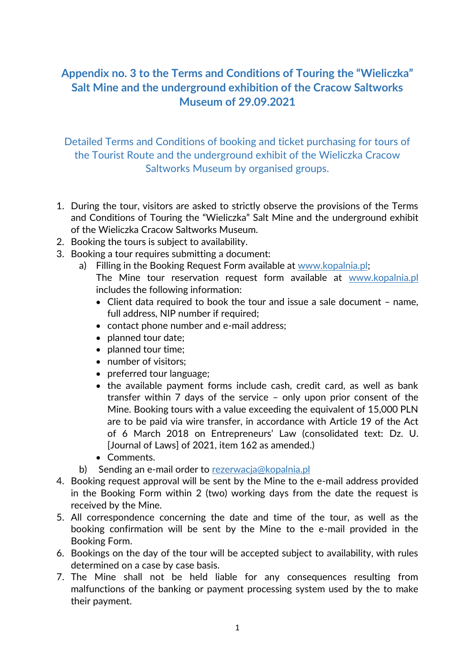## **Appendix no. 3 to the Terms and Conditions of Touring the "Wieliczka" Salt Mine and the underground exhibition of the Cracow Saltworks Museum of 29.09.2021**

Detailed Terms and Conditions of booking and ticket purchasing for tours of the Tourist Route and the underground exhibit of the Wieliczka Cracow Saltworks Museum by organised groups.

- 1. During the tour, visitors are asked to strictly observe the provisions of the Terms and Conditions of Touring the "Wieliczka" Salt Mine and the underground exhibit of the Wieliczka Cracow Saltworks Museum.
- 2. Booking the tours is subject to availability.
- 3. Booking a tour requires submitting a document:
	- a) Filling in the Booking Request Form available at www.kopalnia.pl; The Mine tour reservation request form available at www.kopalnia.pl includes the following information:
		- Client data required to book the tour and issue a sale document name, full address, NIP number if required;
		- contact phone number and e-mail address;
		- planned tour date;
		- planned tour time;
		- number of visitors;
		- preferred tour language;
		- the available payment forms include cash, credit card, as well as bank transfer within 7 days of the service – only upon prior consent of the Mine. Booking tours with a value exceeding the equivalent of 15,000 PLN are to be paid via wire transfer, in accordance with [Article 19 of the Act](http://abc.online.wolterskluwer.pl/WKPLOnline/index.rpc#hiperlinkText.rpc?hiperlink=type=tresc:nro=Powszechny.883033:part=a22u1p2&full=1)  [of 6 March 2018 on Entrepreneurs' Law \(consolidated text:](http://abc.online.wolterskluwer.pl/WKPLOnline/index.rpc#hiperlinkText.rpc?hiperlink=type=tresc:nro=Powszechny.883033:part=a22u1p2&full=1) [Dz.](http://abc.online.wolterskluwer.pl/WKPLOnline/index.rpc#hiperlinkText.rpc?hiperlink=type=tresc:nro=Powszechny.883033:part=a22u1p2&full=1) [U.](http://abc.online.wolterskluwer.pl/WKPLOnline/index.rpc#hiperlinkText.rpc?hiperlink=type=tresc:nro=Powszechny.883033:part=a22u1p2&full=1)  [\[Journal of Laws\] of 2021, item 162 as amended.\)](http://abc.online.wolterskluwer.pl/WKPLOnline/index.rpc#hiperlinkText.rpc?hiperlink=type=tresc:nro=Powszechny.883033:part=a22u1p2&full=1)
		- Comments.
	- b) Sending an e-mail order to [rezerwacja@kopalnia.pl](mailto:rezerwacja@kopalnia.pl)
- 4. Booking request approval will be sent by the Mine to the e-mail address provided in the Booking Form within 2 (two) working days from the date the request is received by the Mine.
- 5. All correspondence concerning the date and time of the tour, as well as the booking confirmation will be sent by the Mine to the e-mail provided in the Booking Form.
- 6. Bookings on the day of the tour will be accepted subject to availability, with rules determined on a case by case basis.
- 7. The Mine shall not be held liable for any consequences resulting from malfunctions of the banking or payment processing system used by the to make their payment.